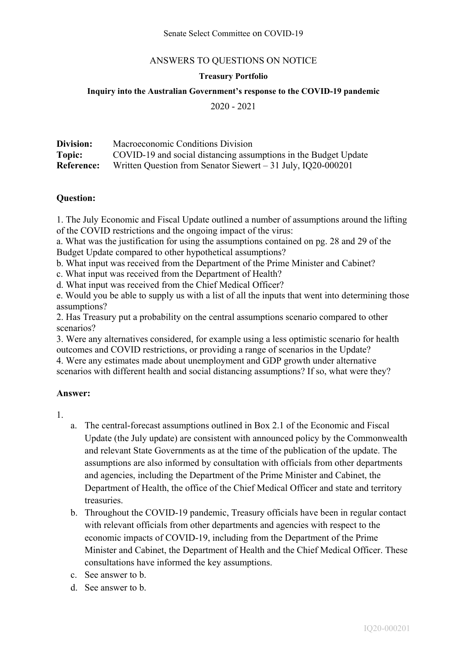### **Treasury Portfolio**

#### **Inquiry into the Australian Government's response to the COVID-19 pandemic**

2020 - 2021

| Division:         | Macroeconomic Conditions Division                               |
|-------------------|-----------------------------------------------------------------|
| Topic:            | COVID-19 and social distancing assumptions in the Budget Update |
| <b>Reference:</b> | Written Question from Senator Siewert $-31$ July, IQ20-000201   |

#### **Question:**

1. The July Economic and Fiscal Update outlined a number of assumptions around the lifting of the COVID restrictions and the ongoing impact of the virus:

a. What was the justification for using the assumptions contained on pg. 28 and 29 of the Budget Update compared to other hypothetical assumptions?

b. What input was received from the Department of the Prime Minister and Cabinet?

c. What input was received from the Department of Health?

d. What input was received from the Chief Medical Officer?

e. Would you be able to supply us with a list of all the inputs that went into determining those assumptions?

2. Has Treasury put a probability on the central assumptions scenario compared to other scenarios?

3. Were any alternatives considered, for example using a less optimistic scenario for health outcomes and COVID restrictions, or providing a range of scenarios in the Update?

4. Were any estimates made about unemployment and GDP growth under alternative scenarios with different health and social distancing assumptions? If so, what were they?

#### **Answer:**

1.

- a. The central-forecast assumptions outlined in Box 2.1 of the Economic and Fiscal Update (the July update) are consistent with announced policy by the Commonwealth and relevant State Governments as at the time of the publication of the update. The assumptions are also informed by consultation with officials from other departments and agencies, including the Department of the Prime Minister and Cabinet, the Department of Health, the office of the Chief Medical Officer and state and territory treasuries.
- b. Throughout the COVID-19 pandemic, Treasury officials have been in regular contact with relevant officials from other departments and agencies with respect to the economic impacts of COVID-19, including from the Department of the Prime Minister and Cabinet, the Department of Health and the Chief Medical Officer. These consultations have informed the key assumptions.
- c. See answer to b.
- d. See answer to b.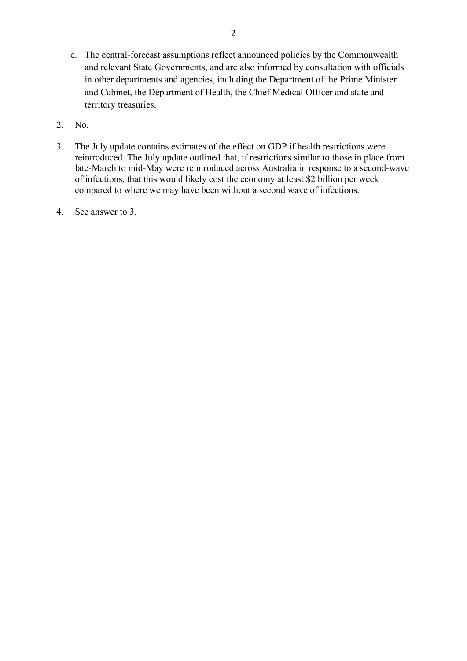- e. The central-forecast assumptions reflect announced policies by the Commonwealth and relevant State Governments, and are also informed by consultation with officials in other departments and agencies, including the Department of the Prime Minister and Cabinet, the Department of Health, the Chief Medical Officer and state and territory treasuries.
- 2. No.
- 3. The July update contains estimates of the effect on GDP if health restrictions were reintroduced. The July update outlined that, if restrictions similar to those in place from late-March to mid-May were reintroduced across Australia in response to a second-wave of infections, that this would likely cost the economy at least \$2 billion per week compared to where we may have been without a second wave of infections.
- 4. See answer to 3.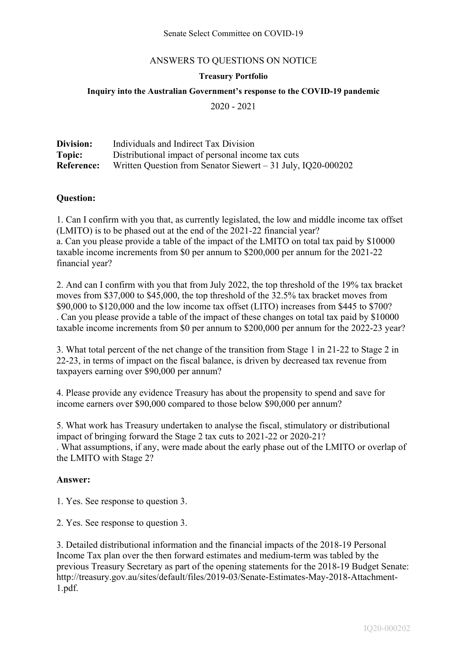### **Treasury Portfolio**

## **Inquiry into the Australian Government's response to the COVID-19 pandemic**

2020 - 2021

| Division:         | Individuals and Indirect Tax Division                         |
|-------------------|---------------------------------------------------------------|
| Topic:            | Distributional impact of personal income tax cuts             |
| <b>Reference:</b> | Written Question from Senator Siewert $-31$ July, IQ20-000202 |

#### **Question:**

1. Can I confirm with you that, as currently legislated, the low and middle income tax offset (LMITO) is to be phased out at the end of the 2021-22 financial year? a. Can you please provide a table of the impact of the LMITO on total tax paid by \$10000

taxable income increments from \$0 per annum to \$200,000 per annum for the 2021-22 financial year?

2. And can I confirm with you that from July 2022, the top threshold of the 19% tax bracket moves from \$37,000 to \$45,000, the top threshold of the 32.5% tax bracket moves from \$90,000 to \$120,000 and the low income tax offset (LITO) increases from \$445 to \$700? . Can you please provide a table of the impact of these changes on total tax paid by \$10000 taxable income increments from \$0 per annum to \$200,000 per annum for the 2022-23 year?

3. What total percent of the net change of the transition from Stage 1 in 21-22 to Stage 2 in 22-23, in terms of impact on the fiscal balance, is driven by decreased tax revenue from taxpayers earning over \$90,000 per annum?

4. Please provide any evidence Treasury has about the propensity to spend and save for income earners over \$90,000 compared to those below \$90,000 per annum?

5. What work has Treasury undertaken to analyse the fiscal, stimulatory or distributional impact of bringing forward the Stage 2 tax cuts to 2021-22 or 2020-21? . What assumptions, if any, were made about the early phase out of the LMITO or overlap of the LMITO with Stage 2?

#### **Answer:**

1. Yes. See response to question 3.

2. Yes. See response to question 3.

3. Detailed distributional information and the financial impacts of the 2018-19 Personal Income Tax plan over the then forward estimates and medium-term was tabled by the previous Treasury Secretary as part of the opening statements for the 2018-19 Budget Senate: http://treasury.gov.au/sites/default/files/2019-03/Senate-Estimates-May-2018-Attachment-1.pdf.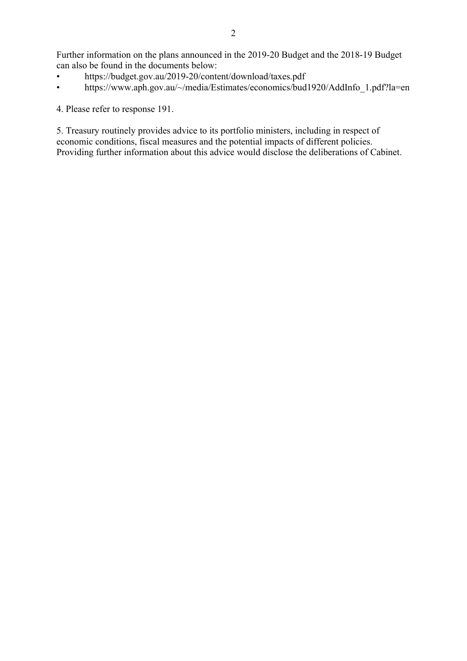Further information on the plans announced in the 2019-20 Budget and the 2018-19 Budget can also be found in the documents below:

- https://budget.gov.au/2019-20/content/download/taxes.pdf
- https://www.aph.gov.au/~/media/Estimates/economics/bud1920/AddInfo\_1.pdf?la=en

4. Please refer to response 191.

5. Treasury routinely provides advice to its portfolio ministers, including in respect of economic conditions, fiscal measures and the potential impacts of different policies. Providing further information about this advice would disclose the deliberations of Cabinet.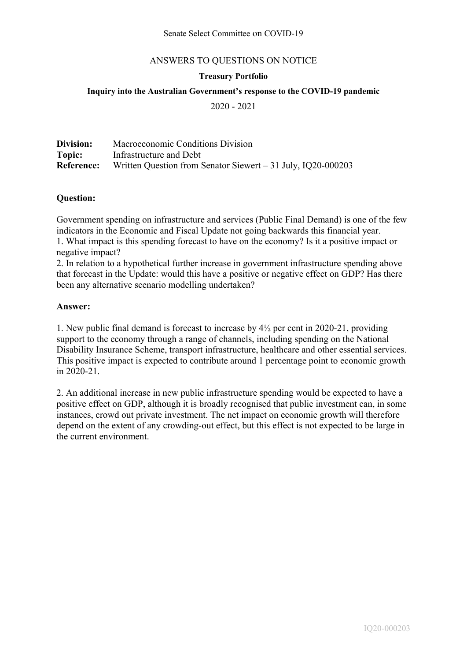### **Treasury Portfolio**

## **Inquiry into the Australian Government's response to the COVID-19 pandemic**

2020 - 2021

| Division: | Macroeconomic Conditions Division                                              |
|-----------|--------------------------------------------------------------------------------|
| Topic:    | Infrastructure and Debt                                                        |
|           | <b>Reference:</b> Written Question from Senator Siewert – 31 July, IQ20-000203 |

### **Question:**

Government spending on infrastructure and services (Public Final Demand) is one of the few indicators in the Economic and Fiscal Update not going backwards this financial year. 1. What impact is this spending forecast to have on the economy? Is it a positive impact or negative impact?

2. In relation to a hypothetical further increase in government infrastructure spending above that forecast in the Update: would this have a positive or negative effect on GDP? Has there been any alternative scenario modelling undertaken?

#### **Answer:**

1. New public final demand is forecast to increase by 4½ per cent in 2020-21, providing support to the economy through a range of channels, including spending on the National Disability Insurance Scheme, transport infrastructure, healthcare and other essential services. This positive impact is expected to contribute around 1 percentage point to economic growth in 2020-21.

2. An additional increase in new public infrastructure spending would be expected to have a positive effect on GDP, although it is broadly recognised that public investment can, in some instances, crowd out private investment. The net impact on economic growth will therefore depend on the extent of any crowding-out effect, but this effect is not expected to be large in the current environment.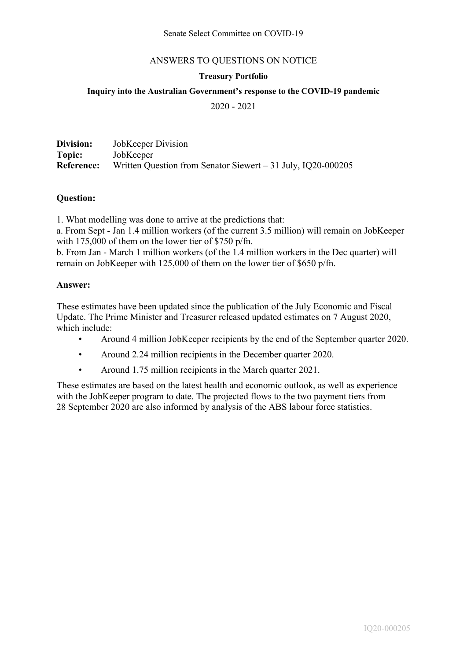### **Treasury Portfolio**

## **Inquiry into the Australian Government's response to the COVID-19 pandemic**

2020 - 2021

| Division:         | JobKeeper Division                                            |
|-------------------|---------------------------------------------------------------|
| Topic:            | JobKeeper                                                     |
| <b>Reference:</b> | Written Question from Senator Siewert $-31$ July, IQ20-000205 |

### **Question:**

1. What modelling was done to arrive at the predictions that:

a. From Sept - Jan 1.4 million workers (of the current 3.5 million) will remain on JobKeeper with 175,000 of them on the lower tier of \$750 p/fn.

b. From Jan - March 1 million workers (of the 1.4 million workers in the Dec quarter) will remain on JobKeeper with 125,000 of them on the lower tier of \$650 p/fn.

#### **Answer:**

These estimates have been updated since the publication of the July Economic and Fiscal Update. The Prime Minister and Treasurer released updated estimates on 7 August 2020, which include:

- Around 4 million JobKeeper recipients by the end of the September quarter 2020.
- Around 2.24 million recipients in the December quarter 2020.
- Around 1.75 million recipients in the March quarter 2021.

These estimates are based on the latest health and economic outlook, as well as experience with the JobKeeper program to date. The projected flows to the two payment tiers from 28 September 2020 are also informed by analysis of the ABS labour force statistics.